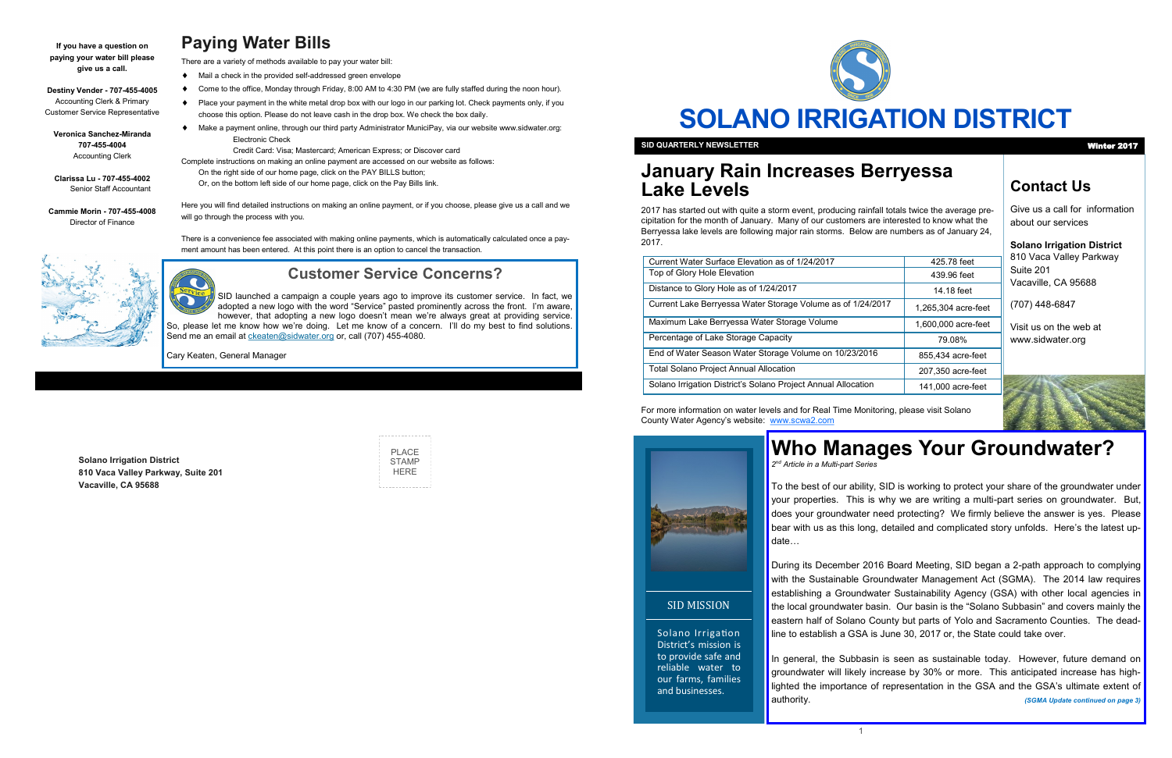

# **SOLANO IRRIGATION DISTRICT**

### **Contact Us**

Give us a call for information about our services

### **Solano Irrigation District**

810 Vaca Valley Parkway Suite 201 Vacaville, CA 95688

(707) 448-6847

Visit us on the web at www.sidwater.org

# **January Rain Increases Berryessa Lake Levels**

2017 has started out with quite a storm event, producing rainfall totals twice the average precipitation for the month of January. Many of our customers are interested to know what the Berryessa lake levels are following major rain storms. Below are numbers as of January 24, 2017.

For more information on water levels and for Real Time Monitoring, please visit Solano County Water Agency's website: [www.scwa2.com](http://www.scwa2.com)



**SID QUARTERLY NEWSLETTER** Winter 2017

Solano Irrigation District's mission is to provide safe and reliable water to our farms, families and businesses.

SID MISSION

# **Paying Water Bills**

There are a variety of methods available to pay your water bill:

- Mail a check in the provided self-addressed green envelope
- Come to the office, Monday through Friday, 8:00 AM to 4:30 PM (we are fully staffed during the noon hour).
- Place your payment in the white metal drop box with our logo in our parking lot. Check payments only, if you choose this option. Please do not leave cash in the drop box. We check the box daily.
- Make a payment online, through our third party Administrator MuniciPay, via our website www.sidwater.org: Electronic Check

To the best of our ability, SID is working to protect your share of the groundwater under your properties. This is why we are writing a multi-part series on groundwater. But, does your groundwater need protecting? We firmly believe the answer is yes. Please bear with us as this long, detailed and complicated story unfolds. Here's the latest update…

Credit Card: Visa; Mastercard; American Express; or Discover card

Complete instructions on making an online payment are accessed on our website as follows:

On the right side of our home page, click on the PAY BILLS button;

Or, on the bottom left side of our home page, click on the Pay Bills link.

Here you will find detailed instructions on making an online payment, or if you choose, please give us a call and we will go through the process with you.

There is a convenience fee associated with making online payments, which is automatically calculated once a payment amount has been entered. At this point there is an option to cancel the transaction.



**Solano Irrigation District 810 Vaca Valley Parkway, Suite 201 Vacaville, CA 95688**

SID launched a campaign a couple years ago to improve its customer service. In fact, we adopted a new logo with the word "Service" pasted prominently across the front. I'm aware, however, that adopting a new logo doesn't mean we're always great at providing service. So, please let me know how we're doing. Let me know of a concern. I'll do my best to find solutions. Send me an email at *ckeaten@sidwater.org* or, call (707) 455-4080.

| PI ACF       |
|--------------|
| <b>STAMP</b> |
|              |
| HFRF         |
|              |

**If you have a question on paying your water bill please give us a call.**

**Destiny Vender - 707-455-4005** Accounting Clerk & Primary Customer Service Representative

**Veronica Sanchez-Miranda 707-455-4004** Accounting Clerk

**Clarissa Lu - 707-455-4002** Senior Staff Accountant

**Cammie Morin - 707-455-4008** Director of Finance

# **Who Manages Your Groundwater?**

*2 nd Article in a Multi-part Series*

During its December 2016 Board Meeting, SID began a 2-path approach to complying with the Sustainable Groundwater Management Act (SGMA). The 2014 law requires establishing a Groundwater Sustainability Agency (GSA) with other local agencies in the local groundwater basin. Our basin is the "Solano Subbasin" and covers mainly the eastern half of Solano County but parts of Yolo and Sacramento Counties. The deadline to establish a GSA is June 30, 2017 or, the State could take over.

In general, the Subbasin is seen as sustainable today. However, future demand on groundwater will likely increase by 30% or more. This anticipated increase has highlighted the importance of representation in the GSA and the GSA's ultimate extent of authority. *(SGMA Update continued on page 3)*

| Current Water Surface Elevation as of 1/24/2017               | 425.78 feet         |
|---------------------------------------------------------------|---------------------|
| Top of Glory Hole Elevation                                   | 439.96 feet         |
| Distance to Glory Hole as of 1/24/2017                        | 14.18 feet          |
| Current Lake Berryessa Water Storage Volume as of 1/24/2017   | 1,265,304 acre-feet |
| Maximum Lake Berryessa Water Storage Volume                   | 1,600,000 acre-feet |
| Percentage of Lake Storage Capacity                           | 79.08%              |
| End of Water Season Water Storage Volume on 10/23/2016        | 855,434 acre-feet   |
| <b>Total Solano Project Annual Allocation</b>                 | 207,350 acre-feet   |
| Solano Irrigation District's Solano Project Annual Allocation | 141,000 acre-feet   |
|                                                               |                     |

## **Customer Service Concerns?**

Cary Keaten, General Manager